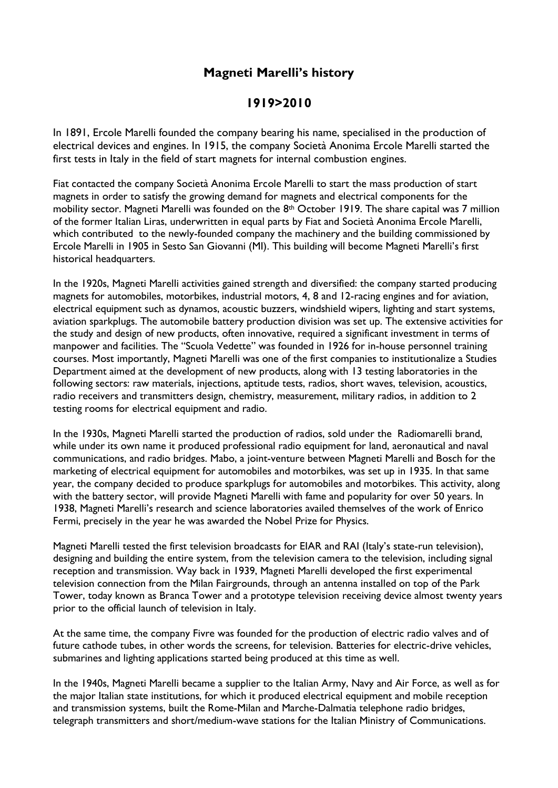## **Magneti Marelli's history**

## **1919>2010**

In 1891, Ercole Marelli founded the company bearing his name, specialised in the production of electrical devices and engines. In 1915, the company Società Anonima Ercole Marelli started the first tests in Italy in the field of start magnets for internal combustion engines.

Fiat contacted the company Società Anonima Ercole Marelli to start the mass production of start magnets in order to satisfy the growing demand for magnets and electrical components for the mobility sector. Magneti Marelli was founded on the 8<sup>th</sup> October 1919. The share capital was 7 million of the former Italian Liras, underwritten in equal parts by Fiat and Società Anonima Ercole Marelli, which contributed to the newly-founded company the machinery and the building commissioned by Ercole Marelli in 1905 in Sesto San Giovanni (MI). This building will become Magneti Marelli's first historical headquarters.

In the 1920s, Magneti Marelli activities gained strength and diversified: the company started producing magnets for automobiles, motorbikes, industrial motors, 4, 8 and 12-racing engines and for aviation, electrical equipment such as dynamos, acoustic buzzers, windshield wipers, lighting and start systems, aviation sparkplugs. The automobile battery production division was set up. The extensive activities for the study and design of new products, often innovative, required a significant investment in terms of manpower and facilities. The "Scuola Vedette" was founded in 1926 for in-house personnel training courses. Most importantly, Magneti Marelli was one of the first companies to institutionalize a Studies Department aimed at the development of new products, along with 13 testing laboratories in the following sectors: raw materials, injections, aptitude tests, radios, short waves, television, acoustics, radio receivers and transmitters design, chemistry, measurement, military radios, in addition to 2 testing rooms for electrical equipment and radio.

In the 1930s, Magneti Marelli started the production of radios, sold under the Radiomarelli brand, while under its own name it produced professional radio equipment for land, aeronautical and naval communications, and radio bridges. Mabo, a joint-venture between Magneti Marelli and Bosch for the marketing of electrical equipment for automobiles and motorbikes, was set up in 1935. In that same year, the company decided to produce sparkplugs for automobiles and motorbikes. This activity, along with the battery sector, will provide Magneti Marelli with fame and popularity for over 50 years. In 1938, Magneti Marelli's research and science laboratories availed themselves of the work of Enrico Fermi, precisely in the year he was awarded the Nobel Prize for Physics.

Magneti Marelli tested the first television broadcasts for EIAR and RAI (Italy's state-run television), designing and building the entire system, from the television camera to the television, including signal reception and transmission. Way back in 1939, Magneti Marelli developed the first experimental television connection from the Milan Fairgrounds, through an antenna installed on top of the Park Tower, today known as Branca Tower and a prototype television receiving device almost twenty years prior to the official launch of television in Italy.

At the same time, the company Fivre was founded for the production of electric radio valves and of future cathode tubes, in other words the screens, for television. Batteries for electric-drive vehicles, submarines and lighting applications started being produced at this time as well.

In the 1940s, Magneti Marelli became a supplier to the Italian Army, Navy and Air Force, as well as for the major Italian state institutions, for which it produced electrical equipment and mobile reception and transmission systems, built the Rome-Milan and Marche-Dalmatia telephone radio bridges, telegraph transmitters and short/medium-wave stations for the Italian Ministry of Communications.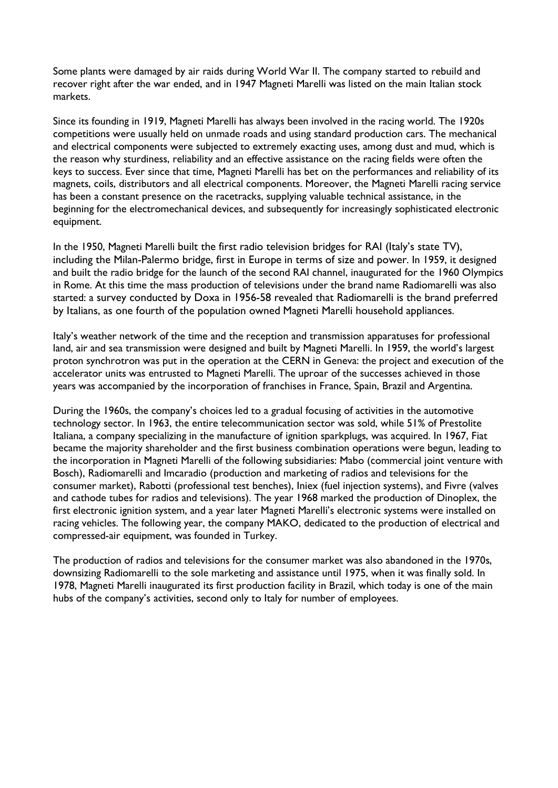Some plants were damaged by air raids during World War II. The company started to rebuild and recover right after the war ended, and in 1947 Magneti Marelli was listed on the main Italian stock markets.

Since its founding in 1919, Magneti Marelli has always been involved in the racing world. The 1920s competitions were usually held on unmade roads and using standard production cars. The mechanical and electrical components were subjected to extremely exacting uses, among dust and mud, which is the reason why sturdiness, reliability and an effective assistance on the racing fields were often the keys to success. Ever since that time, Magneti Marelli has bet on the performances and reliability of its magnets, coils, distributors and all electrical components. Moreover, the Magneti Marelli racing service has been a constant presence on the racetracks, supplying valuable technical assistance, in the beginning for the electromechanical devices, and subsequently for increasingly sophisticated electronic equipment.

In the 1950, Magneti Marelli built the first radio television bridges for RAI (Italy's state TV), including the Milan-Palermo bridge, first in Europe in terms of size and power. In 1959, it designed and built the radio bridge for the launch of the second RAI channel, inaugurated for the 1960 Olympics in Rome. At this time the mass production of televisions under the brand name Radiomarelli was also started: a survey conducted by Doxa in 1956-58 revealed that Radiomarelli is the brand preferred by Italians, as one fourth of the population owned Magneti Marelli household appliances.

Italy's weather network of the time and the reception and transmission apparatuses for professional land, air and sea transmission were designed and built by Magneti Marelli. In 1959, the world's largest proton synchrotron was put in the operation at the CERN in Geneva: the project and execution of the accelerator units was entrusted to Magneti Marelli. The uproar of the successes achieved in those years was accompanied by the incorporation of franchises in France, Spain, Brazil and Argentina.

During the 1960s, the company's choices led to a gradual focusing of activities in the automotive technology sector. In 1963, the entire telecommunication sector was sold, while 51% of Prestolite Italiana, a company specializing in the manufacture of ignition sparkplugs, was acquired. In 1967, Fiat became the majority shareholder and the first business combination operations were begun, leading to the incorporation in Magneti Marelli of the following subsidiaries: Mabo (commercial joint venture with Bosch), Radiomarelli and Imcaradio (production and marketing of radios and televisions for the consumer market), Rabotti (professional test benches), Iniex (fuel injection systems), and Fivre (valves and cathode tubes for radios and televisions). The year 1968 marked the production of Dinoplex, the first electronic ignition system, and a year later Magneti Marelli's electronic systems were installed on racing vehicles. The following year, the company MAKO, dedicated to the production of electrical and compressed-air equipment, was founded in Turkey.

The production of radios and televisions for the consumer market was also abandoned in the 1970s, downsizing Radiomarelli to the sole marketing and assistance until 1975, when it was finally sold. In 1978, Magneti Marelli inaugurated its first production facility in Brazil, which today is one of the main hubs of the company's activities, second only to Italy for number of employees.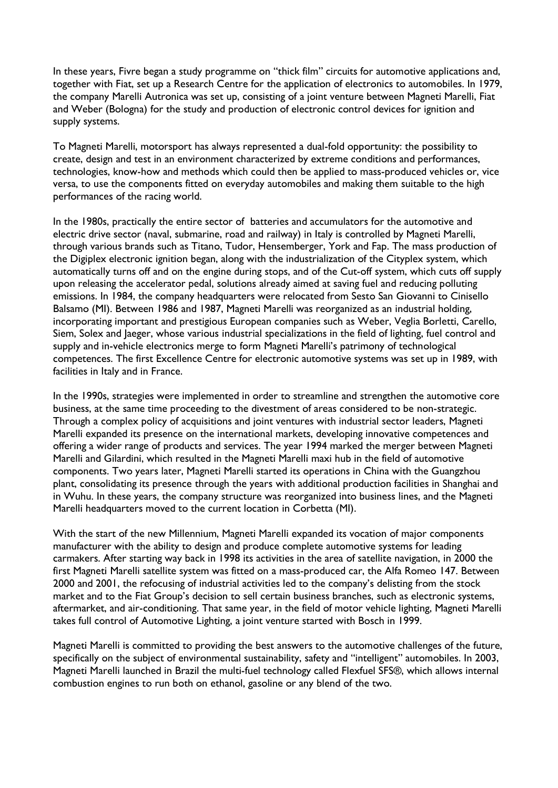In these years, Fivre began a study programme on "thick film" circuits for automotive applications and, together with Fiat, set up a Research Centre for the application of electronics to automobiles. In 1979, the company Marelli Autronica was set up, consisting of a joint venture between Magneti Marelli, Fiat and Weber (Bologna) for the study and production of electronic control devices for ignition and supply systems.

To Magneti Marelli, motorsport has always represented a dual-fold opportunity: the possibility to create, design and test in an environment characterized by extreme conditions and performances, technologies, know-how and methods which could then be applied to mass-produced vehicles or, vice versa, to use the components fitted on everyday automobiles and making them suitable to the high performances of the racing world.

In the 1980s, practically the entire sector of batteries and accumulators for the automotive and electric drive sector (naval, submarine, road and railway) in Italy is controlled by Magneti Marelli, through various brands such as Titano, Tudor, Hensemberger, York and Fap. The mass production of the Digiplex electronic ignition began, along with the industrialization of the Cityplex system, which automatically turns off and on the engine during stops, and of the Cut-off system, which cuts off supply upon releasing the accelerator pedal, solutions already aimed at saving fuel and reducing polluting emissions. In 1984, the company headquarters were relocated from Sesto San Giovanni to Cinisello Balsamo (MI). Between 1986 and 1987, Magneti Marelli was reorganized as an industrial holding, incorporating important and prestigious European companies such as Weber, Veglia Borletti, Carello, Siem, Solex and Jaeger, whose various industrial specializations in the field of lighting, fuel control and supply and in-vehicle electronics merge to form Magneti Marelli's patrimony of technological competences. The first Excellence Centre for electronic automotive systems was set up in 1989, with facilities in Italy and in France.

In the 1990s, strategies were implemented in order to streamline and strengthen the automotive core business, at the same time proceeding to the divestment of areas considered to be non-strategic. Through a complex policy of acquisitions and joint ventures with industrial sector leaders, Magneti Marelli expanded its presence on the international markets, developing innovative competences and offering a wider range of products and services. The year 1994 marked the merger between Magneti Marelli and Gilardini, which resulted in the Magneti Marelli maxi hub in the field of automotive components. Two years later, Magneti Marelli started its operations in China with the Guangzhou plant, consolidating its presence through the years with additional production facilities in Shanghai and in Wuhu. In these years, the company structure was reorganized into business lines, and the Magneti Marelli headquarters moved to the current location in Corbetta (MI).

With the start of the new Millennium, Magneti Marelli expanded its vocation of major components manufacturer with the ability to design and produce complete automotive systems for leading carmakers. After starting way back in 1998 its activities in the area of satellite navigation, in 2000 the first Magneti Marelli satellite system was fitted on a mass-produced car, the Alfa Romeo 147. Between 2000 and 2001, the refocusing of industrial activities led to the company's delisting from the stock market and to the Fiat Group's decision to sell certain business branches, such as electronic systems, aftermarket, and air-conditioning. That same year, in the field of motor vehicle lighting, Magneti Marelli takes full control of Automotive Lighting, a joint venture started with Bosch in 1999.

Magneti Marelli is committed to providing the best answers to the automotive challenges of the future, specifically on the subject of environmental sustainability, safety and "intelligent" automobiles. In 2003, Magneti Marelli launched in Brazil the multi-fuel technology called Flexfuel SFS®, which allows internal combustion engines to run both on ethanol, gasoline or any blend of the two.